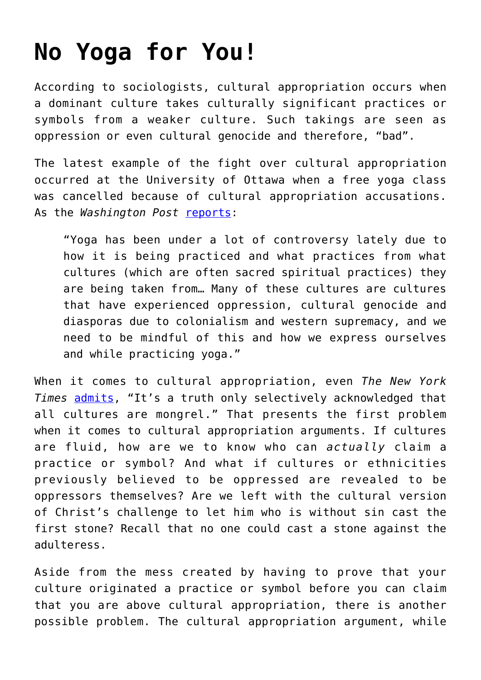## **[No Yoga for You!](https://intellectualtakeout.org/2015/12/no-yoga-for-you/)**

According to sociologists, cultural appropriation occurs when a dominant culture takes culturally significant practices or symbols from a weaker culture. Such takings are seen as oppression or even cultural genocide and therefore, "bad".

The latest example of the fight over cultural appropriation occurred at the University of Ottawa when a free yoga class was cancelled because of cultural appropriation accusations. As the *Washington Post* [reports](https://www.washingtonpost.com/news/morning-mix/wp/2015/11/23/university-yoga-class-canceled-because-of-oppression-cultural-genocide/):

"Yoga has been under a lot of controversy lately due to how it is being practiced and what practices from what cultures (which are often sacred spiritual practices) they are being taken from… Many of these cultures are cultures that have experienced oppression, cultural genocide and diasporas due to colonialism and western supremacy, and we need to be mindful of this and how we express ourselves and while practicing yoga."

When it comes to cultural appropriation, even *The New York Times* [admits](http://www.nytimes.com/2015/10/04/magazine/is-cultural-appropriation-always-wrong.html?_r=0), "It's a truth only selectively acknowledged that all cultures are mongrel." That presents the first problem when it comes to cultural appropriation arguments. If cultures are fluid, how are we to know who can *actually* claim a practice or symbol? And what if cultures or ethnicities previously believed to be oppressed are revealed to be oppressors themselves? Are we left with the cultural version of Christ's challenge to let him who is without sin cast the first stone? Recall that no one could cast a stone against the adulteress.

Aside from the mess created by having to prove that your culture originated a practice or symbol before you can claim that you are above cultural appropriation, there is another possible problem. The cultural appropriation argument, while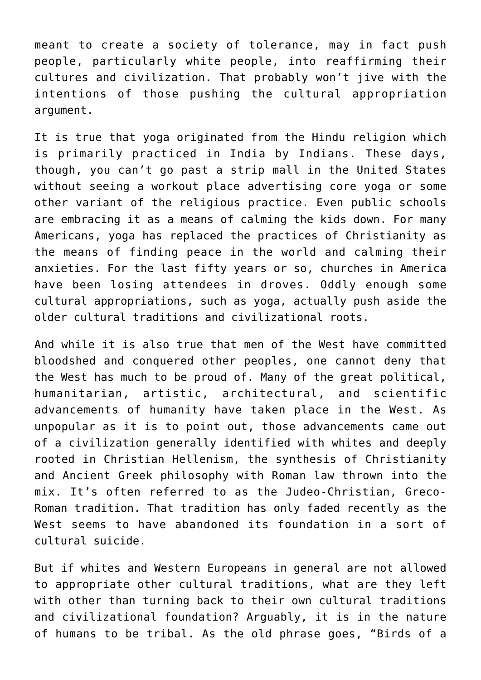meant to create a society of tolerance, may in fact push people, particularly white people, into reaffirming their cultures and civilization. That probably won't jive with the intentions of those pushing the cultural appropriation argument.

It is true that yoga originated from the Hindu religion which is primarily practiced in India by Indians. These days, though, you can't go past a strip mall in the United States without seeing a workout place advertising core yoga or some other variant of the religious practice. Even public schools are embracing it as a means of calming the kids down. For many Americans, yoga has replaced the practices of Christianity as the means of finding peace in the world and calming their anxieties. For the last fifty years or so, churches in America have been losing attendees in droves. Oddly enough some cultural appropriations, such as yoga, actually push aside the older cultural traditions and civilizational roots.

And while it is also true that men of the West have committed bloodshed and conquered other peoples, one cannot deny that the West has much to be proud of. Many of the great political, humanitarian, artistic, architectural, and scientific advancements of humanity have taken place in the West. As unpopular as it is to point out, those advancements came out of a civilization generally identified with whites and deeply rooted in Christian Hellenism, the synthesis of Christianity and Ancient Greek philosophy with Roman law thrown into the mix. It's often referred to as the Judeo-Christian, Greco-Roman tradition. That tradition has only faded recently as the West seems to have abandoned its foundation in a sort of cultural suicide.

But if whites and Western Europeans in general are not allowed to appropriate other cultural traditions, what are they left with other than turning back to their own cultural traditions and civilizational foundation? Arguably, it is in the nature of humans to be tribal. As the old phrase goes, "Birds of a